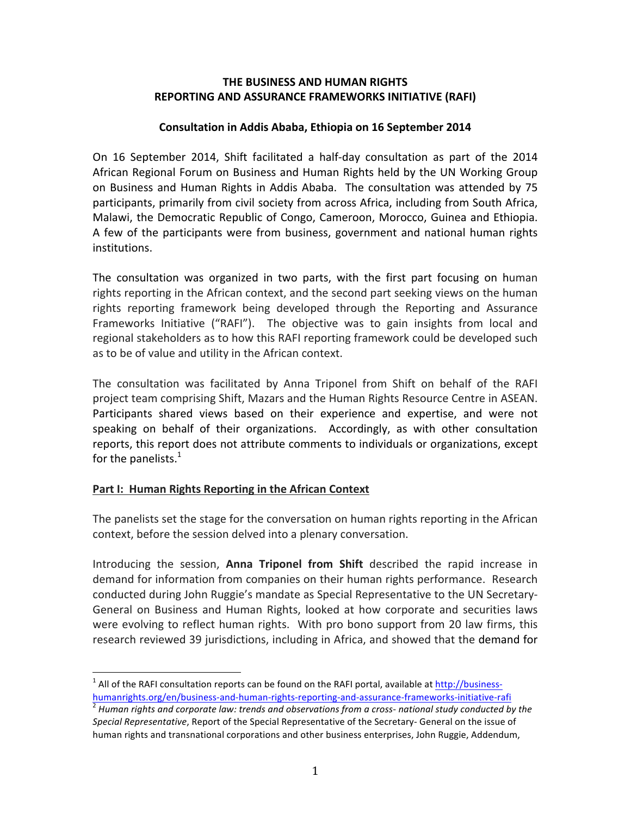#### **THE BUSINESS AND HUMAN RIGHTS REPORTING AND ASSURANCE FRAMEWORKS INITIATIVE (RAFI)**

#### **Consultation in Addis Ababa, Ethiopia on 16 September 2014**

On 16 September 2014, Shift facilitated a half-day consultation as part of the 2014 African Regional Forum on Business and Human Rights held by the UN Working Group on Business and Human Rights in Addis Ababa. The consultation was attended by 75 participants, primarily from civil society from across Africa, including from South Africa, Malawi, the Democratic Republic of Congo, Cameroon, Morocco, Guinea and Ethiopia. A few of the participants were from business, government and national human rights institutions.

The consultation was organized in two parts, with the first part focusing on human rights reporting in the African context, and the second part seeking views on the human rights reporting framework being developed through the Reporting and Assurance Frameworks Initiative ("RAFI"). The objective was to gain insights from local and regional stakeholders as to how this RAFI reporting framework could be developed such as to be of value and utility in the African context.

The consultation was facilitated by Anna Triponel from Shift on behalf of the RAFI project team comprising Shift, Mazars and the Human Rights Resource Centre in ASEAN. Participants shared views based on their experience and expertise, and were not speaking on behalf of their organizations. Accordingly, as with other consultation reports, this report does not attribute comments to individuals or organizations, except for the panelists.<sup>1</sup>

## **Part I: Human Rights Reporting in the African Context**

The panelists set the stage for the conversation on human rights reporting in the African context, before the session delved into a plenary conversation.

Introducing the session, **Anna Triponel from Shift** described the rapid increase in demand for information from companies on their human rights performance. Research conducted during John Ruggie's mandate as Special Representative to the UN Secretary-General on Business and Human Rights, looked at how corporate and securities laws were evolving to reflect human rights. With pro bono support from 20 law firms, this research reviewed 39 jurisdictions, including in Africa, and showed that the demand for

 $<sup>1</sup>$  All of the RAFI consultation reports can be found on the RAFI portal, available at http://business-</sup> humanrights.org/en/business-and-human-rights-reporting-and-assurance-frameworks-initiative-rafi<br><sup>2</sup> Human rights and corporate law: trends and observations from a cross- national study conducted by the

Special Representative, Report of the Special Representative of the Secretary- General on the issue of human rights and transnational corporations and other business enterprises, John Ruggie, Addendum,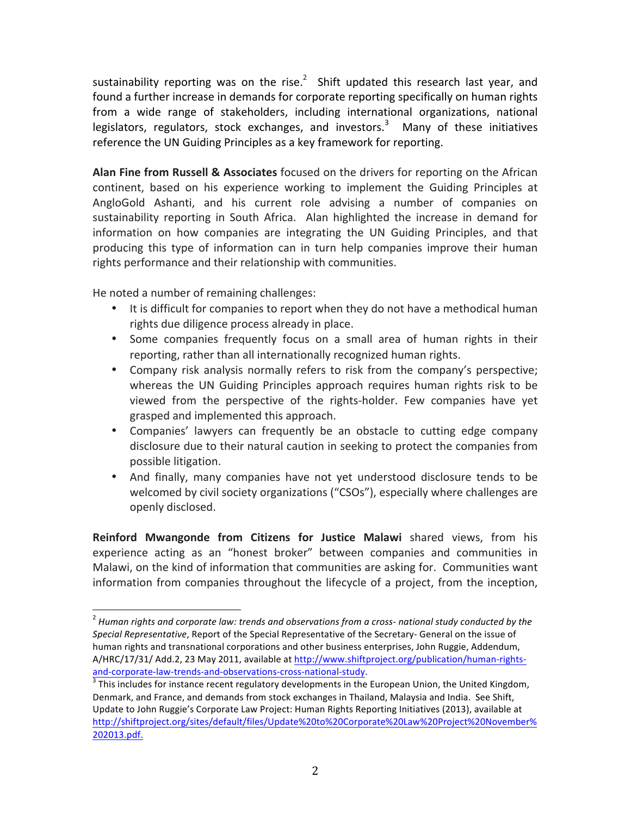sustainability reporting was on the rise.<sup>2</sup> Shift updated this research last year, and found a further increase in demands for corporate reporting specifically on human rights from a wide range of stakeholders, including international organizations, national legislators, regulators, stock exchanges, and investors.<sup>3</sup> Many of these initiatives reference the UN Guiding Principles as a key framework for reporting.

**Alan Fine from Russell & Associates** focused on the drivers for reporting on the African continent, based on his experience working to implement the Guiding Principles at AngloGold Ashanti, and his current role advising a number of companies on sustainability reporting in South Africa. Alan highlighted the increase in demand for information on how companies are integrating the UN Guiding Principles, and that producing this type of information can in turn help companies improve their human rights performance and their relationship with communities.

He noted a number of remaining challenges:

- It is difficult for companies to report when they do not have a methodical human rights due diligence process already in place.
- Some companies frequently focus on a small area of human rights in their reporting, rather than all internationally recognized human rights.
- Company risk analysis normally refers to risk from the company's perspective; whereas the UN Guiding Principles approach requires human rights risk to be viewed from the perspective of the rights-holder. Few companies have yet grasped and implemented this approach.
- Companies' lawyers can frequently be an obstacle to cutting edge company disclosure due to their natural caution in seeking to protect the companies from possible litigation.
- And finally, many companies have not yet understood disclosure tends to be welcomed by civil society organizations ("CSOs"), especially where challenges are openly disclosed.

**Reinford Mwangonde from Citizens for Justice Malawi** shared views, from his experience acting as an "honest broker" between companies and communities in Malawi, on the kind of information that communities are asking for. Communities want information from companies throughout the lifecycle of a project, from the inception,

<sup>&</sup>lt;sup>2</sup> Human rights and corporate law: trends and observations from a cross- national study conducted by the Special Representative, Report of the Special Representative of the Secretary- General on the issue of human rights and transnational corporations and other business enterprises, John Ruggie, Addendum, A/HRC/17/31/ Add.2, 23 May 2011, available at http://www.shiftproject.org/publication/human-rightsand-corporate-law-trends-and-observations-cross-national-study.<br><sup>3</sup> This includes for instance recent regulatory developments in the European Union, the United Kingdom,

Denmark, and France, and demands from stock exchanges in Thailand, Malaysia and India. See Shift, Update to John Ruggie's Corporate Law Project: Human Rights Reporting Initiatives (2013), available at http://shiftproject.org/sites/default/files/Update%20to%20Corporate%20Law%20Project%20November% 202013.pdf.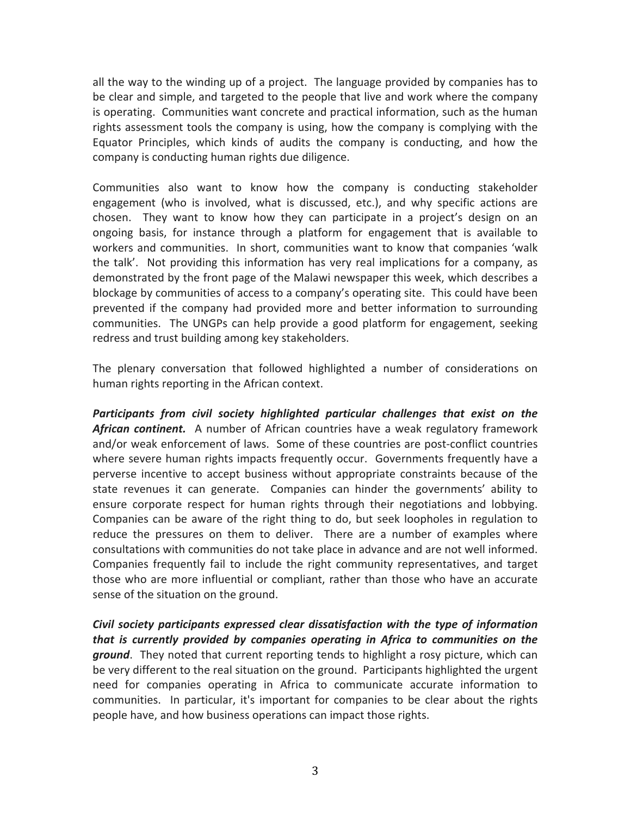all the way to the winding up of a project. The language provided by companies has to be clear and simple, and targeted to the people that live and work where the company is operating. Communities want concrete and practical information, such as the human rights assessment tools the company is using, how the company is complying with the Equator Principles, which kinds of audits the company is conducting, and how the company is conducting human rights due diligence.

Communities also want to know how the company is conducting stakeholder engagement (who is involved, what is discussed, etc.), and why specific actions are chosen. They want to know how they can participate in a project's design on an ongoing basis, for instance through a platform for engagement that is available to workers and communities. In short, communities want to know that companies 'walk the talk'. Not providing this information has very real implications for a company, as demonstrated by the front page of the Malawi newspaper this week, which describes a blockage by communities of access to a company's operating site. This could have been prevented if the company had provided more and better information to surrounding communities. The UNGPs can help provide a good platform for engagement, seeking redress and trust building among key stakeholders.

The plenary conversation that followed highlighted a number of considerations on human rights reporting in the African context.

*Participants from civil society highlighted particular challenges that exist on the*  African continent. A number of African countries have a weak regulatory framework and/or weak enforcement of laws. Some of these countries are post-conflict countries where severe human rights impacts frequently occur. Governments frequently have a perverse incentive to accept business without appropriate constraints because of the state revenues it can generate. Companies can hinder the governments' ability to ensure corporate respect for human rights through their negotiations and lobbying. Companies can be aware of the right thing to do, but seek loopholes in regulation to reduce the pressures on them to deliver. There are a number of examples where consultations with communities do not take place in advance and are not well informed. Companies frequently fail to include the right community representatives, and target those who are more influential or compliant, rather than those who have an accurate sense of the situation on the ground.

*Civil society participants expressed clear dissatisfaction with the type of information that is currently provided by companies operating in Africa to communities on the* ground. They noted that current reporting tends to highlight a rosy picture, which can be very different to the real situation on the ground. Participants highlighted the urgent need for companies operating in Africa to communicate accurate information to communities. In particular, it's important for companies to be clear about the rights people have, and how business operations can impact those rights.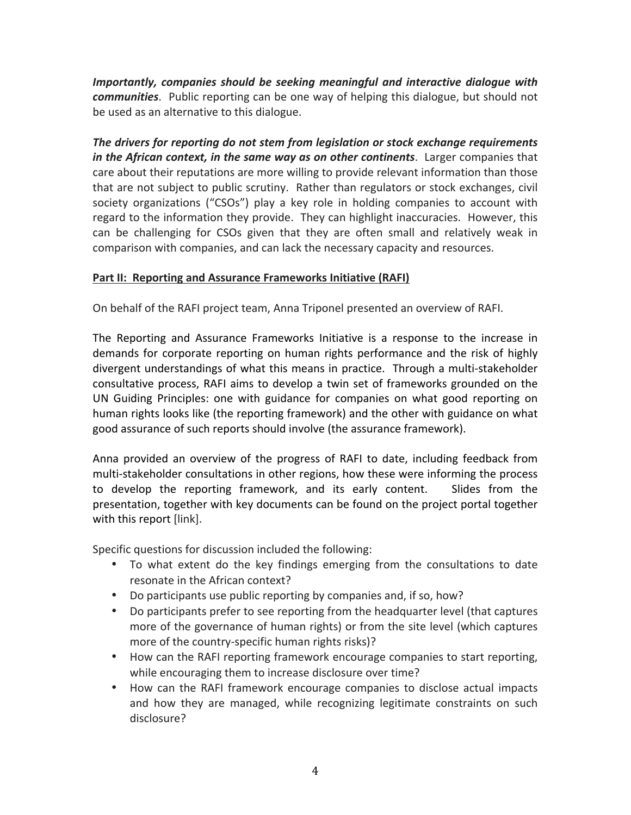*Importantly, companies should be seeking meaningful and interactive dialogue with communities*. Public reporting can be one way of helping this dialogue, but should not be used as an alternative to this dialogue.

The drivers for reporting do not stem from legislation or stock exchange requirements *in* the African context, in the same way as on other continents. Larger companies that care about their reputations are more willing to provide relevant information than those that are not subject to public scrutiny. Rather than regulators or stock exchanges, civil society organizations ("CSOs") play a key role in holding companies to account with regard to the information they provide. They can highlight inaccuracies. However, this can be challenging for CSOs given that they are often small and relatively weak in comparison with companies, and can lack the necessary capacity and resources.

# Part II: Reporting and Assurance Frameworks Initiative (RAFI)

On behalf of the RAFI project team, Anna Triponel presented an overview of RAFI.

The Reporting and Assurance Frameworks Initiative is a response to the increase in demands for corporate reporting on human rights performance and the risk of highly divergent understandings of what this means in practice. Through a multi-stakeholder consultative process, RAFI aims to develop a twin set of frameworks grounded on the UN Guiding Principles: one with guidance for companies on what good reporting on human rights looks like (the reporting framework) and the other with guidance on what good assurance of such reports should involve (the assurance framework).

Anna provided an overview of the progress of RAFI to date, including feedback from multi-stakeholder consultations in other regions, how these were informing the process to develop the reporting framework, and its early content. Slides from the presentation, together with key documents can be found on the project portal together with this report [link].

Specific questions for discussion included the following:

- To what extent do the key findings emerging from the consultations to date resonate in the African context?
- Do participants use public reporting by companies and, if so, how?
- Do participants prefer to see reporting from the headquarter level (that captures more of the governance of human rights) or from the site level (which captures more of the country-specific human rights risks)?
- How can the RAFI reporting framework encourage companies to start reporting, while encouraging them to increase disclosure over time?
- How can the RAFI framework encourage companies to disclose actual impacts and how they are managed, while recognizing legitimate constraints on such disclosure?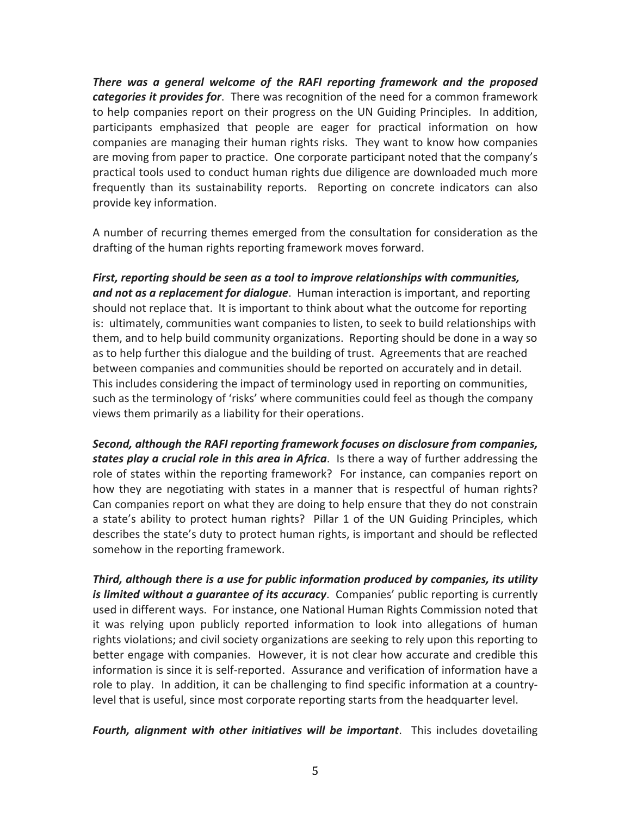*There was a general welcome of the RAFI reporting framework and the proposed categories it provides for.* There was recognition of the need for a common framework to help companies report on their progress on the UN Guiding Principles. In addition, participants emphasized that people are eager for practical information on how companies are managing their human rights risks. They want to know how companies are moving from paper to practice. One corporate participant noted that the company's practical tools used to conduct human rights due diligence are downloaded much more frequently than its sustainability reports. Reporting on concrete indicators can also provide key information.

A number of recurring themes emerged from the consultation for consideration as the drafting of the human rights reporting framework moves forward.

First, reporting should be seen as a tool to improve relationships with communities, and not as a replacement for dialogue. Human interaction is important, and reporting should not replace that. It is important to think about what the outcome for reporting is: ultimately, communities want companies to listen, to seek to build relationships with them, and to help build community organizations. Reporting should be done in a way so as to help further this dialogue and the building of trust. Agreements that are reached between companies and communities should be reported on accurately and in detail. This includes considering the impact of terminology used in reporting on communities, such as the terminology of 'risks' where communities could feel as though the company views them primarily as a liability for their operations.

**Second, although the RAFI reporting framework focuses on disclosure from companies, states play a crucial role in this area in Africa**. Is there a way of further addressing the role of states within the reporting framework? For instance, can companies report on how they are negotiating with states in a manner that is respectful of human rights? Can companies report on what they are doing to help ensure that they do not constrain a state's ability to protect human rights? Pillar 1 of the UN Guiding Principles, which describes the state's duty to protect human rights, is important and should be reflected somehow in the reporting framework.

Third, although there is a use for public information produced by companies, its utility *is limited without a guarantee of its accuracy*. Companies' public reporting is currently used in different ways. For instance, one National Human Rights Commission noted that it was relying upon publicly reported information to look into allegations of human rights violations; and civil society organizations are seeking to rely upon this reporting to better engage with companies. However, it is not clear how accurate and credible this information is since it is self-reported. Assurance and verification of information have a role to play. In addition, it can be challenging to find specific information at a countrylevel that is useful, since most corporate reporting starts from the headquarter level.

Fourth, alignment with other initiatives will be important. This includes dovetailing